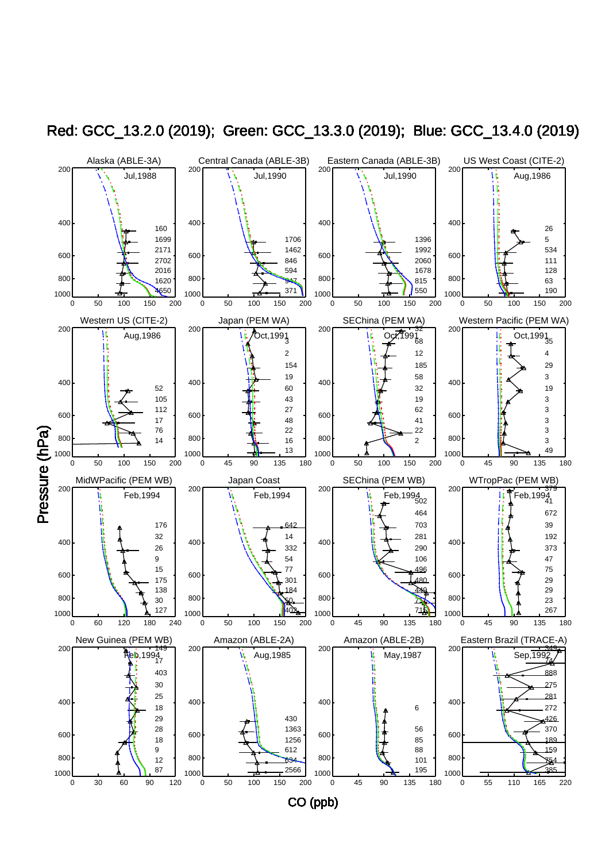

Red: GCC\_13.2.0 (2019); Green: GCC\_13.3.0 (2019); Blue: GCC\_13.4.0 (2019)

CO (ppb)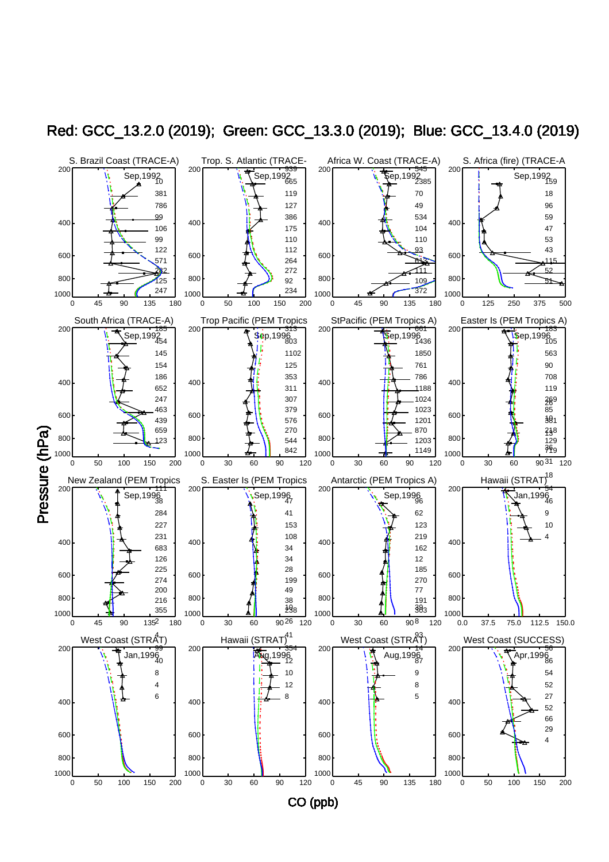

Red: GCC\_13.2.0 (2019); Green: GCC\_13.3.0 (2019); Blue: GCC\_13.4.0 (2019)

CO (ppb)